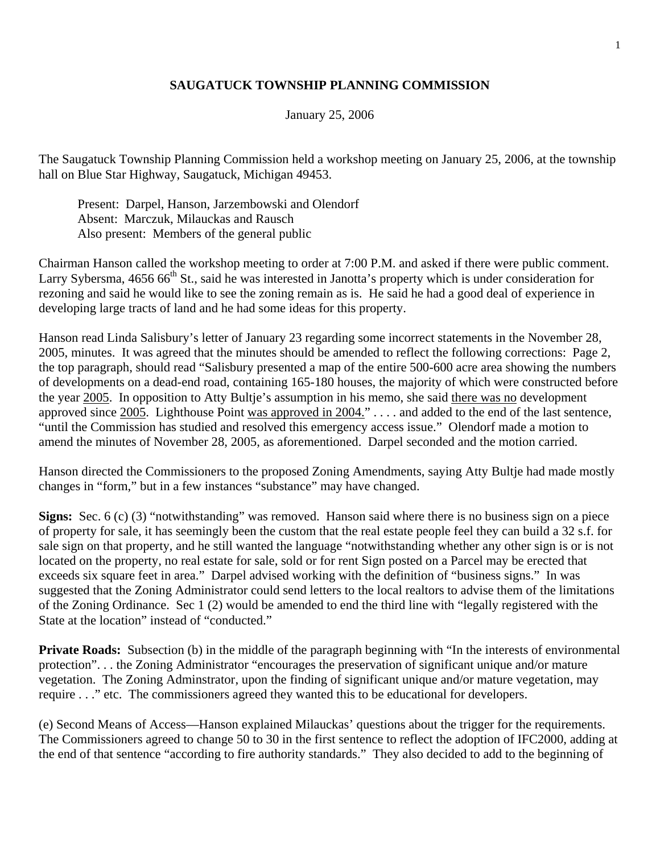## **SAUGATUCK TOWNSHIP PLANNING COMMISSION**

## January 25, 2006

The Saugatuck Township Planning Commission held a workshop meeting on January 25, 2006, at the township hall on Blue Star Highway, Saugatuck, Michigan 49453.

 Present: Darpel, Hanson, Jarzembowski and Olendorf Absent: Marczuk, Milauckas and Rausch Also present: Members of the general public

Chairman Hanson called the workshop meeting to order at 7:00 P.M. and asked if there were public comment. Larry Sybersma, 4656 66<sup>th</sup> St., said he was interested in Janotta's property which is under consideration for rezoning and said he would like to see the zoning remain as is. He said he had a good deal of experience in developing large tracts of land and he had some ideas for this property.

Hanson read Linda Salisbury's letter of January 23 regarding some incorrect statements in the November 28, 2005, minutes. It was agreed that the minutes should be amended to reflect the following corrections: Page 2, the top paragraph, should read "Salisbury presented a map of the entire 500-600 acre area showing the numbers of developments on a dead-end road, containing 165-180 houses, the majority of which were constructed before the year 2005. In opposition to Atty Bultje's assumption in his memo, she said there was no development approved since 2005. Lighthouse Point was approved in 2004." . . . . and added to the end of the last sentence, "until the Commission has studied and resolved this emergency access issue." Olendorf made a motion to amend the minutes of November 28, 2005, as aforementioned. Darpel seconded and the motion carried.

Hanson directed the Commissioners to the proposed Zoning Amendments, saying Atty Bultje had made mostly changes in "form," but in a few instances "substance" may have changed.

**Signs:** Sec. 6 (c) (3) "notwithstanding" was removed. Hanson said where there is no business sign on a piece of property for sale, it has seemingly been the custom that the real estate people feel they can build a 32 s.f. for sale sign on that property, and he still wanted the language "notwithstanding whether any other sign is or is not located on the property, no real estate for sale, sold or for rent Sign posted on a Parcel may be erected that exceeds six square feet in area." Darpel advised working with the definition of "business signs." In was suggested that the Zoning Administrator could send letters to the local realtors to advise them of the limitations of the Zoning Ordinance. Sec 1 (2) would be amended to end the third line with "legally registered with the State at the location" instead of "conducted."

**Private Roads:** Subsection (b) in the middle of the paragraph beginning with "In the interests of environmental protection". . . the Zoning Administrator "encourages the preservation of significant unique and/or mature vegetation. The Zoning Adminstrator, upon the finding of significant unique and/or mature vegetation, may require . . ." etc. The commissioners agreed they wanted this to be educational for developers.

(e) Second Means of Access—Hanson explained Milauckas' questions about the trigger for the requirements. The Commissioners agreed to change 50 to 30 in the first sentence to reflect the adoption of IFC2000, adding at the end of that sentence "according to fire authority standards." They also decided to add to the beginning of